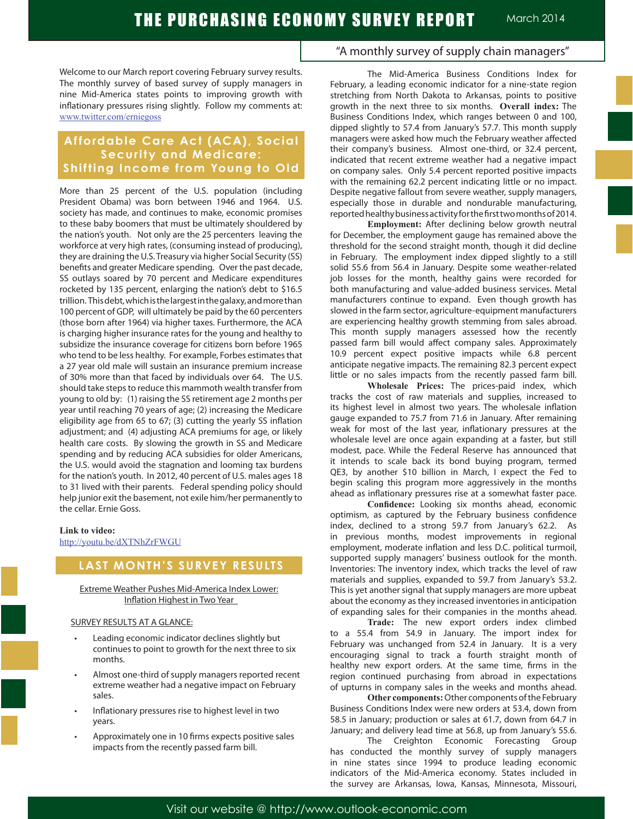Welcome to our March report covering February survey results. The monthly survey of based survey of supply managers in nine Mid-America states points to improving growth with inflationary pressures rising slightly. Follow my comments at: www.twitter.com/erniegoss

# **Affordable Care Act (ACA), Social Security and Medicare: Shifting Income from Young to Old**

More than 25 percent of the U.S. population (including President Obama) was born between 1946 and 1964. U.S. society has made, and continues to make, economic promises to these baby boomers that must be ultimately shouldered by the nation's youth. Not only are the 25 percenters leaving the workforce at very high rates, (consuming instead of producing), they are draining the U.S. Treasury via higher Social Security (SS) benefits and greater Medicare spending. Over the past decade, SS outlays soared by 70 percent and Medicare expenditures rocketed by 135 percent, enlarging the nation's debt to \$16.5 trillion. This debt, which is the largest in the galaxy, and more than 100 percent of GDP, will ultimately be paid by the 60 percenters (those born after 1964) via higher taxes. Furthermore, the ACA is charging higher insurance rates for the young and healthy to subsidize the insurance coverage for citizens born before 1965 who tend to be less healthy. For example, Forbes estimates that a 27 year old male will sustain an insurance premium increase of 30% more than that faced by individuals over 64. The U.S. should take steps to reduce this mammoth wealth transfer from young to old by: (1) raising the SS retirement age 2 months per year until reaching 70 years of age; (2) increasing the Medicare eligibility age from 65 to 67; (3) cutting the yearly SS inflation adjustment; and (4) adjusting ACA premiums for age, or likely health care costs. By slowing the growth in SS and Medicare spending and by reducing ACA subsidies for older Americans, the U.S. would avoid the stagnation and looming tax burdens for the nation's youth. In 2012, 40 percent of U.S. males ages 18 to 31 lived with their parents. Federal spending policy should help junior exit the basement, not exile him/her permanently to the cellar. Ernie Goss.

#### **Link to video:**

http://youtu.be/dXTNhZrFWGU

## **LAST MONTH'S SURVEY RESULTS**

Extreme Weather Pushes Mid-America Index Lower: Inflation Highest in Two Year

#### SURVEY RESULTS AT A GLANCE:

- Leading economic indicator declines slightly but continues to point to growth for the next three to six months.
- Almost one-third of supply managers reported recent extreme weather had a negative impact on February sales.
- Inflationary pressures rise to highest level in two years.
- Approximately one in 10 firms expects positive sales impacts from the recently passed farm bill.

"A monthly survey of supply chain managers"

The Mid-America Business Conditions Index for February, a leading economic indicator for a nine-state region stretching from North Dakota to Arkansas, points to positive growth in the next three to six months. **Overall index:** The Business Conditions Index, which ranges between 0 and 100, dipped slightly to 57.4 from January's 57.7. This month supply managers were asked how much the February weather affected their company's business. Almost one-third, or 32.4 percent, indicated that recent extreme weather had a negative impact on company sales. Only 5.4 percent reported positive impacts with the remaining 62.2 percent indicating little or no impact. Despite negative fallout from severe weather, supply managers, especially those in durable and nondurable manufacturing, reported healthy business activity for the first two months of 2014.

**Employment:** After declining below growth neutral for December, the employment gauge has remained above the threshold for the second straight month, though it did decline in February. The employment index dipped slightly to a still solid 55.6 from 56.4 in January. Despite some weather-related job losses for the month, healthy gains were recorded for both manufacturing and value-added business services. Metal manufacturers continue to expand. Even though growth has slowed in the farm sector, agriculture-equipment manufacturers are experiencing healthy growth stemming from sales abroad. This month supply managers assessed how the recently passed farm bill would affect company sales. Approximately 10.9 percent expect positive impacts while 6.8 percent anticipate negative impacts. The remaining 82.3 percent expect little or no sales impacts from the recently passed farm bill.

**Wholesale Prices:** The prices-paid index, which tracks the cost of raw materials and supplies, increased to its highest level in almost two years. The wholesale inflation gauge expanded to 75.7 from 71.6 in January. After remaining weak for most of the last year, inflationary pressures at the wholesale level are once again expanding at a faster, but still modest, pace. While the Federal Reserve has announced that it intends to scale back its bond buying program, termed QE3, by another \$10 billion in March, I expect the Fed to begin scaling this program more aggressively in the months ahead as inflationary pressures rise at a somewhat faster pace.

 **Confidence:** Looking six months ahead, economic optimism, as captured by the February business confidence index, declined to a strong 59.7 from January's 62.2. As in previous months, modest improvements in regional employment, moderate inflation and less D.C. political turmoil, supported supply managers' business outlook for the month. Inventories: The inventory index, which tracks the level of raw materials and supplies, expanded to 59.7 from January's 53.2. This is yet another signal that supply managers are more upbeat about the economy as they increased inventories in anticipation of expanding sales for their companies in the months ahead.

**Trade:** The new export orders index climbed to a 55.4 from 54.9 in January. The import index for February was unchanged from 52.4 in January. It is a very encouraging signal to track a fourth straight month of healthy new export orders. At the same time, firms in the region continued purchasing from abroad in expectations of upturns in company sales in the weeks and months ahead.

**Other components:** Other components of the February Business Conditions Index were new orders at 53.4, down from 58.5 in January; production or sales at 61.7, down from 64.7 in January; and delivery lead time at 56.8, up from January's 55.6.

The Creighton Economic Forecasting Group has conducted the monthly survey of supply managers in nine states since 1994 to produce leading economic indicators of the Mid-America economy. States included in the survey are Arkansas, Iowa, Kansas, Minnesota, Missouri,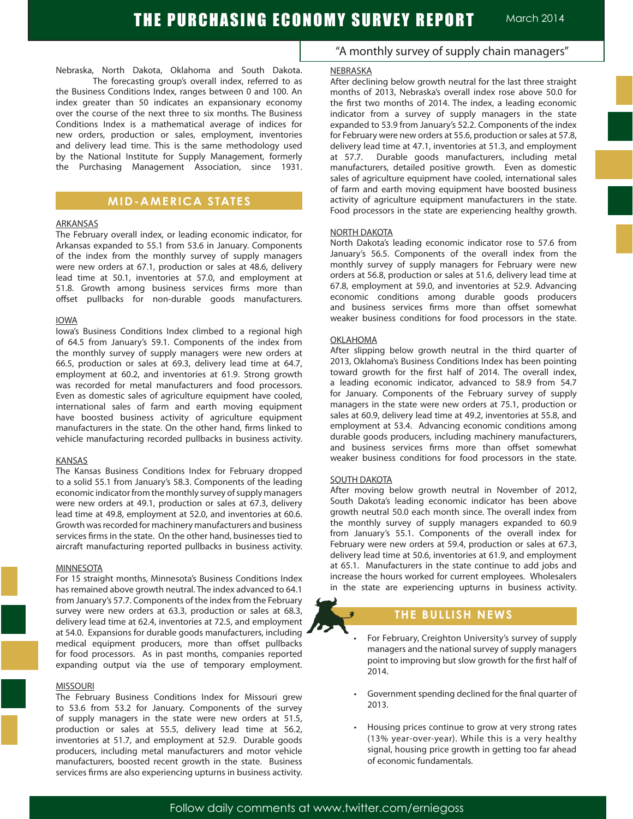Nebraska, North Dakota, Oklahoma and South Dakota. The forecasting group's overall index, referred to as the Business Conditions Index, ranges between 0 and 100. An index greater than 50 indicates an expansionary economy over the course of the next three to six months. The Business Conditions Index is a mathematical average of indices for new orders, production or sales, employment, inventories and delivery lead time. This is the same methodology used by the National Institute for Supply Management, formerly the Purchasing Management Association, since 1931.

## **MID-AMERICA STATES**

#### ARKANSAS

The February overall index, or leading economic indicator, for Arkansas expanded to 55.1 from 53.6 in January. Components of the index from the monthly survey of supply managers were new orders at 67.1, production or sales at 48.6, delivery lead time at 50.1, inventories at 57.0, and employment at 51.8. Growth among business services firms more than offset pullbacks for non-durable goods manufacturers.

#### IOWA

Iowa's Business Conditions Index climbed to a regional high of 64.5 from January's 59.1. Components of the index from the monthly survey of supply managers were new orders at 66.5, production or sales at 69.3, delivery lead time at 64.7, employment at 60.2, and inventories at 61.9. Strong growth was recorded for metal manufacturers and food processors. Even as domestic sales of agriculture equipment have cooled, international sales of farm and earth moving equipment have boosted business activity of agriculture equipment manufacturers in the state. On the other hand, firms linked to vehicle manufacturing recorded pullbacks in business activity.

#### KANSAS

The Kansas Business Conditions Index for February dropped to a solid 55.1 from January's 58.3. Components of the leading economic indicator from the monthly survey of supply managers were new orders at 49.1, production or sales at 67.3, delivery lead time at 49.8, employment at 52.0, and inventories at 60.6. Growth was recorded for machinery manufacturers and business services firms in the state. On the other hand, businesses tied to aircraft manufacturing reported pullbacks in business activity.

#### MINNESOTA

For 15 straight months, Minnesota's Business Conditions Index has remained above growth neutral. The index advanced to 64.1 from January's 57.7. Components of the index from the February survey were new orders at 63.3, production or sales at 68.3, delivery lead time at 62.4, inventories at 72.5, and employment at 54.0. Expansions for durable goods manufacturers, including medical equipment producers, more than offset pullbacks for food processors. As in past months, companies reported expanding output via the use of temporary employment.

#### MISSOURI

The February Business Conditions Index for Missouri grew to 53.6 from 53.2 for January. Components of the survey of supply managers in the state were new orders at 51.5, production or sales at 55.5, delivery lead time at 56.2, inventories at 51.7, and employment at 52.9. Durable goods producers, including metal manufacturers and motor vehicle manufacturers, boosted recent growth in the state. Business services firms are also experiencing upturns in business activity.

# "A monthly survey of supply chain managers"

### NEBRASKA

After declining below growth neutral for the last three straight months of 2013, Nebraska's overall index rose above 50.0 for the first two months of 2014. The index, a leading economic indicator from a survey of supply managers in the state expanded to 53.9 from January's 52.2. Components of the index for February were new orders at 55.6, production or sales at 57.8, delivery lead time at 47.1, inventories at 51.3, and employment at 57.7. Durable goods manufacturers, including metal manufacturers, detailed positive growth. Even as domestic sales of agriculture equipment have cooled, international sales of farm and earth moving equipment have boosted business activity of agriculture equipment manufacturers in the state. Food processors in the state are experiencing healthy growth.

#### NORTH DAKOTA

North Dakota's leading economic indicator rose to 57.6 from January's 56.5. Components of the overall index from the monthly survey of supply managers for February were new orders at 56.8, production or sales at 51.6, delivery lead time at 67.8, employment at 59.0, and inventories at 52.9. Advancing economic conditions among durable goods producers and business services firms more than offset somewhat weaker business conditions for food processors in the state.

### OKLAHOMA

After slipping below growth neutral in the third quarter of 2013, Oklahoma's Business Conditions Index has been pointing toward growth for the first half of 2014. The overall index, a leading economic indicator, advanced to 58.9 from 54.7 for January. Components of the February survey of supply managers in the state were new orders at 75.1, production or sales at 60.9, delivery lead time at 49.2, inventories at 55.8, and employment at 53.4. Advancing economic conditions among durable goods producers, including machinery manufacturers, and business services firms more than offset somewhat weaker business conditions for food processors in the state.

### SOUTH DAKOTA

After moving below growth neutral in November of 2012, South Dakota's leading economic indicator has been above growth neutral 50.0 each month since. The overall index from the monthly survey of supply managers expanded to 60.9 from January's 55.1. Components of the overall index for February were new orders at 59.4, production or sales at 67.3, delivery lead time at 50.6, inventories at 61.9, and employment at 65.1. Manufacturers in the state continue to add jobs and increase the hours worked for current employees. Wholesalers in the state are experiencing upturns in business activity.

## **THE BULLISH NEWS**

- For February, Creighton University's survey of supply managers and the national survey of supply managers point to improving but slow growth for the first half of 2014.
- Government spending declined for the final quarter of 2013.
- Housing prices continue to grow at very strong rates (13% year-over-year). While this is a very healthy signal, housing price growth in getting too far ahead of economic fundamentals.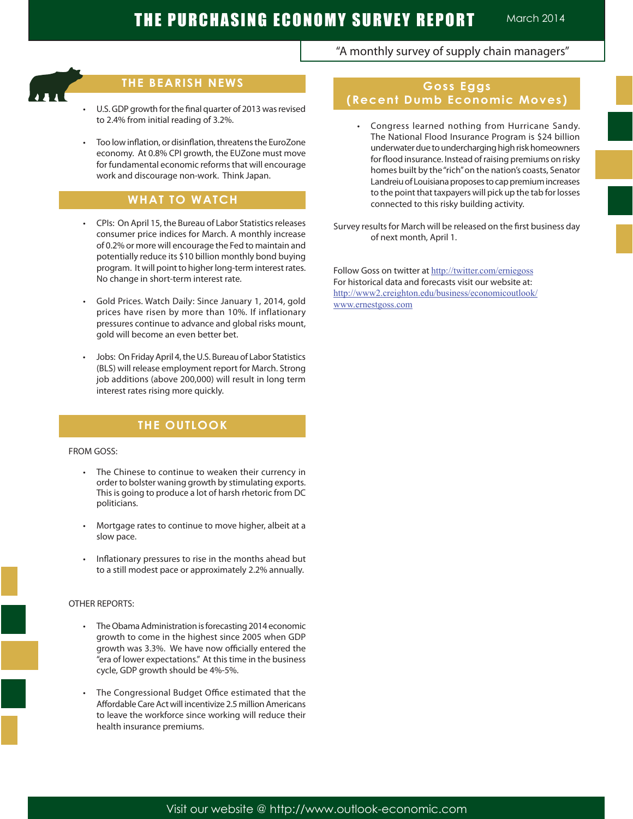Ĩ

# **THE BEARISH NEWS**

- U.S. GDP growth for the final quarter of 2013 was revised to 2.4% from initial reading of 3.2%.
- Too low inflation, or disinflation, threatens the EuroZone economy. At 0.8% CPI growth, the EUZone must move for fundamental economic reforms that will encourage work and discourage non-work. Think Japan.

# **WHAT TO WATCH**

- CPIs: On April 15, the Bureau of Labor Statistics releases consumer price indices for March. A monthly increase of 0.2% or more will encourage the Fed to maintain and potentially reduce its \$10 billion monthly bond buying program. It will point to higher long-term interest rates. No change in short-term interest rate.
- Gold Prices. Watch Daily: Since January 1, 2014, gold prices have risen by more than 10%. If inflationary pressures continue to advance and global risks mount, gold will become an even better bet.
- Jobs: On Friday April 4, the U.S. Bureau of Labor Statistics (BLS) will release employment report for March. Strong job additions (above 200,000) will result in long term interest rates rising more quickly.

# **THE OUTLOOK**

#### FROM GOSS:

- • The Chinese to continue to weaken their currency in order to bolster waning growth by stimulating exports. This is going to produce a lot of harsh rhetoric from DC politicians.
- Mortgage rates to continue to move higher, albeit at a slow pace.
- Inflationary pressures to rise in the months ahead but to a still modest pace or approximately 2.2% annually.

### OTHER REPORTS:

- The Obama Administration is forecasting 2014 economic growth to come in the highest since 2005 when GDP growth was 3.3%. We have now officially entered the "era of lower expectations." At this time in the business cycle, GDP growth should be 4%-5%.
- The Congressional Budget Office estimated that the Affordable Care Act will incentivize 2.5 million Americans to leave the workforce since working will reduce their health insurance premiums.

# "A monthly survey of supply chain managers"

## **Goss Eggs (Recent Dumb Economic Moves)**

 • Congress learned nothing from Hurricane Sandy. The National Flood Insurance Program is \$24 billion underwater due to undercharging high risk homeowners for flood insurance. Instead of raising premiums on risky homes built by the "rich" on the nation's coasts, Senator Landreiu of Louisiana proposes to cap premium increases to the point that taxpayers will pick up the tab for losses connected to this risky building activity.

Survey results for March will be released on the first business day of next month, April 1.

Follow Goss on twitter at http://twitter.com/erniegoss For historical data and forecasts visit our website at: http://www2.creighton.edu/business/economicoutlook/ www.ernestgoss.com